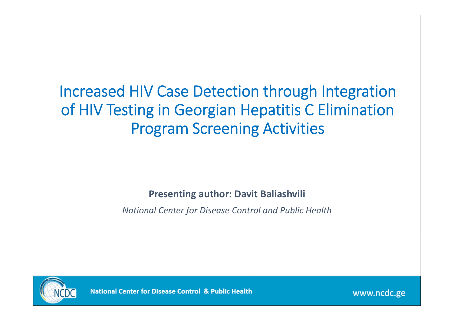#### Increased HIV Case Detection through Integration of HIV Testing in Georgian Hepatitis C Elimination Program Screening Activities

**Presenting author: Davit Baliashvili**

*National Center for Disease Control and Public Health*



**National Center for Disease Control & Public Health**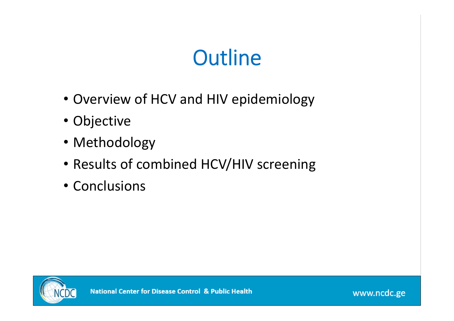# **Outline**

- Overview of HCV and HIV epidemiology
- Objective
- Methodology
- Results of combined HCV/HIV screening
- Conclusions

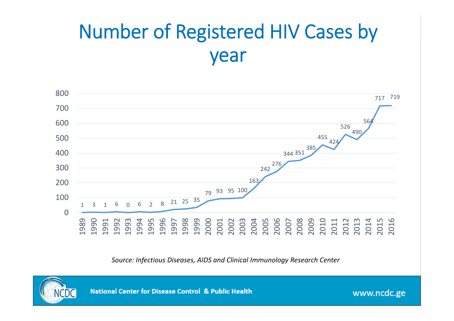## Number of Registered HIV Cases by year



*Source: Infectious Diseases, AIDS and Clinical Immunology Research Center*



**National Center for Disease Control & Public Health**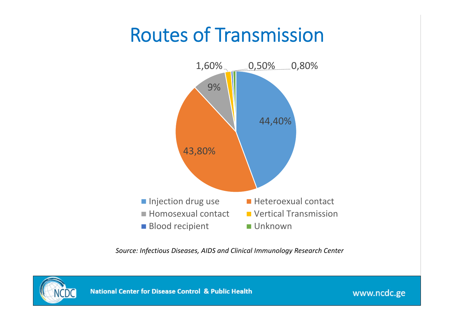## Routes of Transmission



*Source: Infectious Diseases, AIDS and Clinical Immunology Research Center*

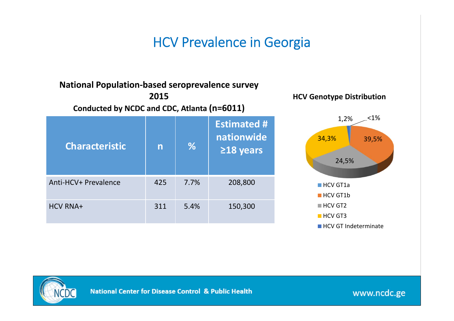#### HCV Prevalence in Georgia

#### **Characteristic <sup>n</sup> % Estimated # nationwide ≥18 years** Anti-HCV+ Prevalence 425 7.7% 208,800 HCV RNA+ 311 5.4% 150,300 **Conducted by NCDC and CDC, Atlanta (n=6011)**

**National Population‐based seroprevalence survey 2015**





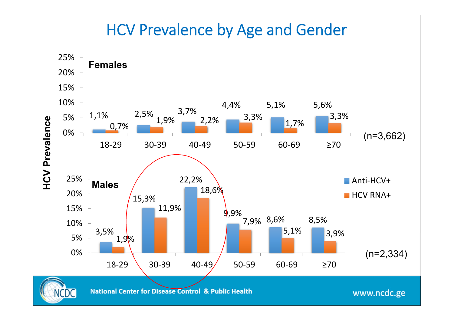#### HCV Prevalence by Age and Gender

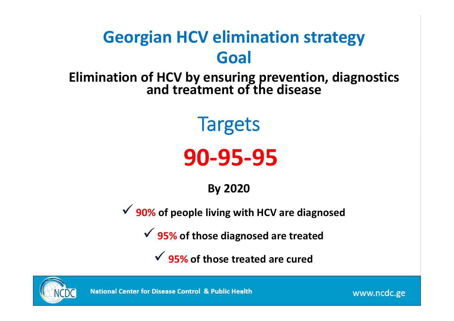### **Georgian HCV elimination strategy Goal**

**Elimination of HCV by ensuring prevention, diagnostics and treatment of the disease**

**Targets** 

# **90‐95‐95**

**By 2020**

**90% of people living with HCV are diagnosed**

**95% of those diagnosed are treated**

**95% of those treated are cured**



**National Center for Disease Control & Public Health**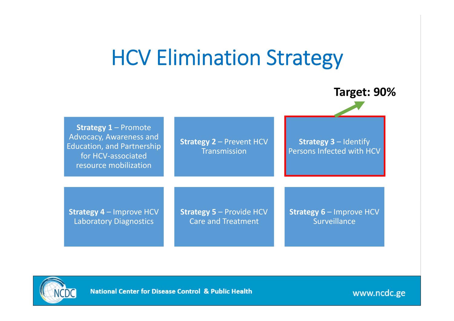## HCV Elimination Strategy



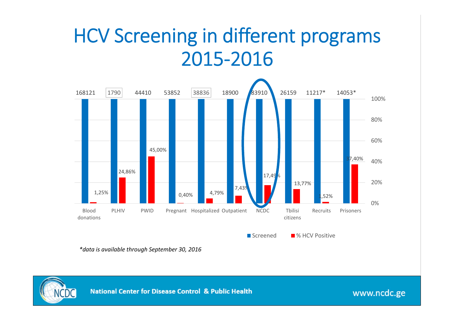## HCV Screening in different programs 2015‐2016



*\*data is available through September 30, 2016*

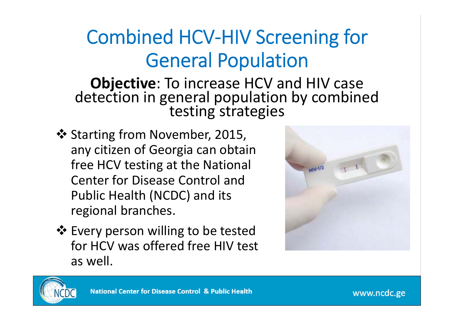## Combined HCV‐HIV Screening for General Population

**Objective**: To increase HCV and HIV case detection in general population by combined testing strategies

- ❖ Starting from November, 2015, any citizen of Georgia can obtain free HCV testing at the National Center for Disease Control and Public Health (NCDC) and its regional branches.
- Every person willing to be tested for HCV was offered free HIV test as well.



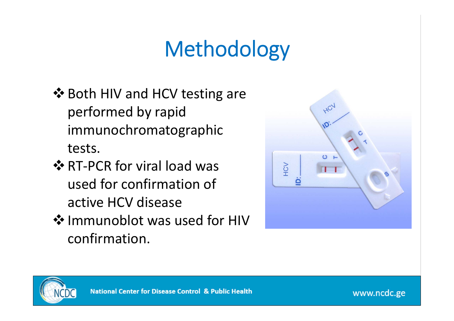# Methodology

- ❖ Both HIV and HCV testing are performed by rapid immunochromatographic tests.
- **☆ RT-PCR for viral load was** used for confirmation of active HCV disease
- ❖ Immunoblot was used for HIV confirmation.



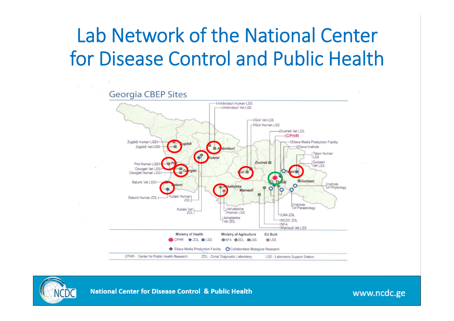## Lab Network of the National Center for Disease Control and Public Health



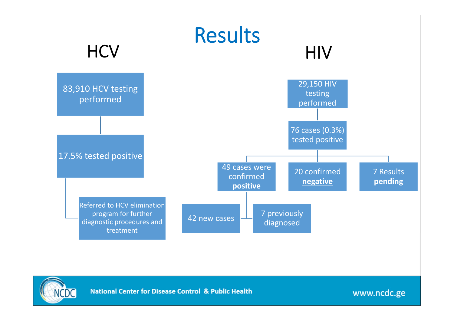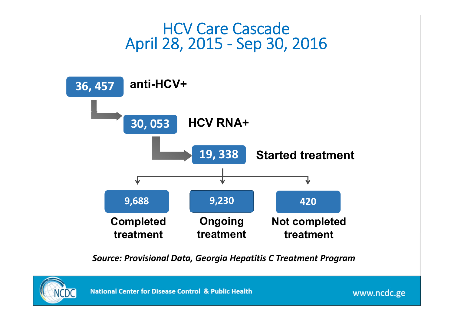#### HCV Care CascadeApril 28, 2015 ‐ Sep 30, 2016



*Source: Provisional Data, Georgia Hepatitis C Treatment Program*

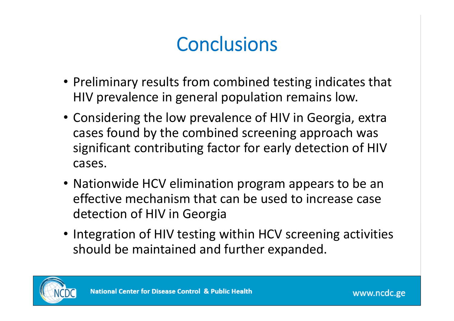## **Conclusions**

- Preliminary results from combined testing indicates that HIV prevalence in general population remains low.
- Considering the low prevalence of HIV in Georgia, extra cases found by the combined screening approach was significant contributing factor for early detection of HIV cases.
- Nationwide HCV elimination program appears to be an effective mechanism that can be used to increase case detection of HIV in Georgia
- Integration of HIV testing within HCV screening activities should be maintained and further expanded.